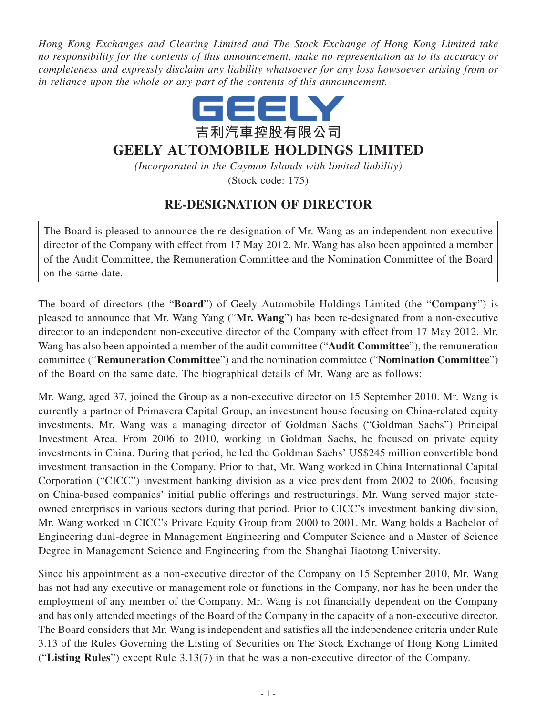*Hong Kong Exchanges and Clearing Limited and The Stock Exchange of Hong Kong Limited take no responsibility for the contents of this announcement, make no representation as to its accuracy or completeness and expressly disclaim any liability whatsoever for any loss howsoever arising from or in reliance upon the whole or any part of the contents of this announcement.*



## **GEELY AUTOMOBILE HOLDINGS LIMITED**

*(Incorporated in the Cayman Islands with limited liability)*

(Stock code: 175)

## **RE-DESIGNATION OF DIRECTOR**

The Board is pleased to announce the re-designation of Mr. Wang as an independent non-executive director of the Company with effect from 17 May 2012. Mr. Wang has also been appointed a member of the Audit Committee, the Remuneration Committee and the Nomination Committee of the Board on the same date.

The board of directors (the "**Board**") of Geely Automobile Holdings Limited (the "**Company**") is pleased to announce that Mr. Wang Yang ("**Mr. Wang**") has been re-designated from a non-executive director to an independent non-executive director of the Company with effect from 17 May 2012. Mr. Wang has also been appointed a member of the audit committee ("**Audit Committee**"), the remuneration committee ("**Remuneration Committee**") and the nomination committee ("**Nomination Committee**") of the Board on the same date. The biographical details of Mr. Wang are as follows:

Mr. Wang, aged 37, joined the Group as a non-executive director on 15 September 2010. Mr. Wang is currently a partner of Primavera Capital Group, an investment house focusing on China-related equity investments. Mr. Wang was a managing director of Goldman Sachs ("Goldman Sachs") Principal Investment Area. From 2006 to 2010, working in Goldman Sachs, he focused on private equity investments in China. During that period, he led the Goldman Sachs' US\$245 million convertible bond investment transaction in the Company. Prior to that, Mr. Wang worked in China International Capital Corporation ("CICC") investment banking division as a vice president from 2002 to 2006, focusing on China-based companies' initial public offerings and restructurings. Mr. Wang served major stateowned enterprises in various sectors during that period. Prior to CICC's investment banking division, Mr. Wang worked in CICC's Private Equity Group from 2000 to 2001. Mr. Wang holds a Bachelor of Engineering dual-degree in Management Engineering and Computer Science and a Master of Science Degree in Management Science and Engineering from the Shanghai Jiaotong University.

Since his appointment as a non-executive director of the Company on 15 September 2010, Mr. Wang has not had any executive or management role or functions in the Company, nor has he been under the employment of any member of the Company. Mr. Wang is not financially dependent on the Company and has only attended meetings of the Board of the Company in the capacity of a non-executive director. The Board considers that Mr. Wang is independent and satisfies all the independence criteria under Rule 3.13 of the Rules Governing the Listing of Securities on The Stock Exchange of Hong Kong Limited ("**Listing Rules**") except Rule 3.13(7) in that he was a non-executive director of the Company.